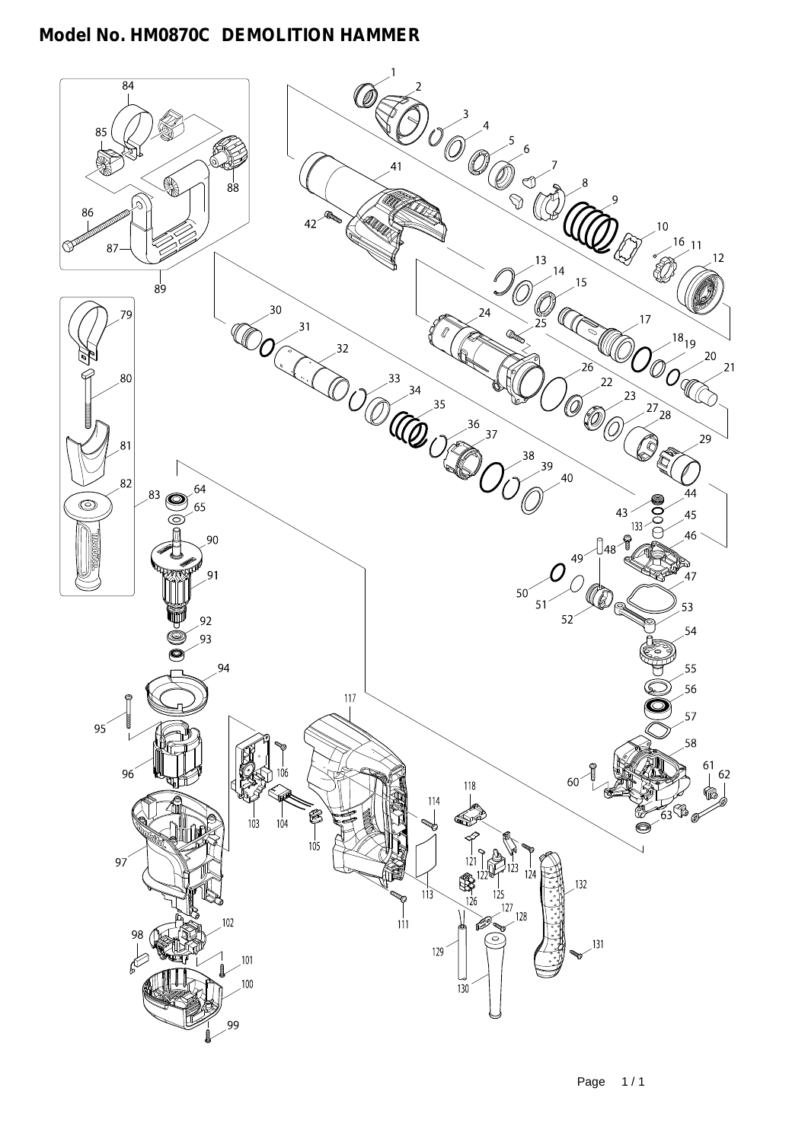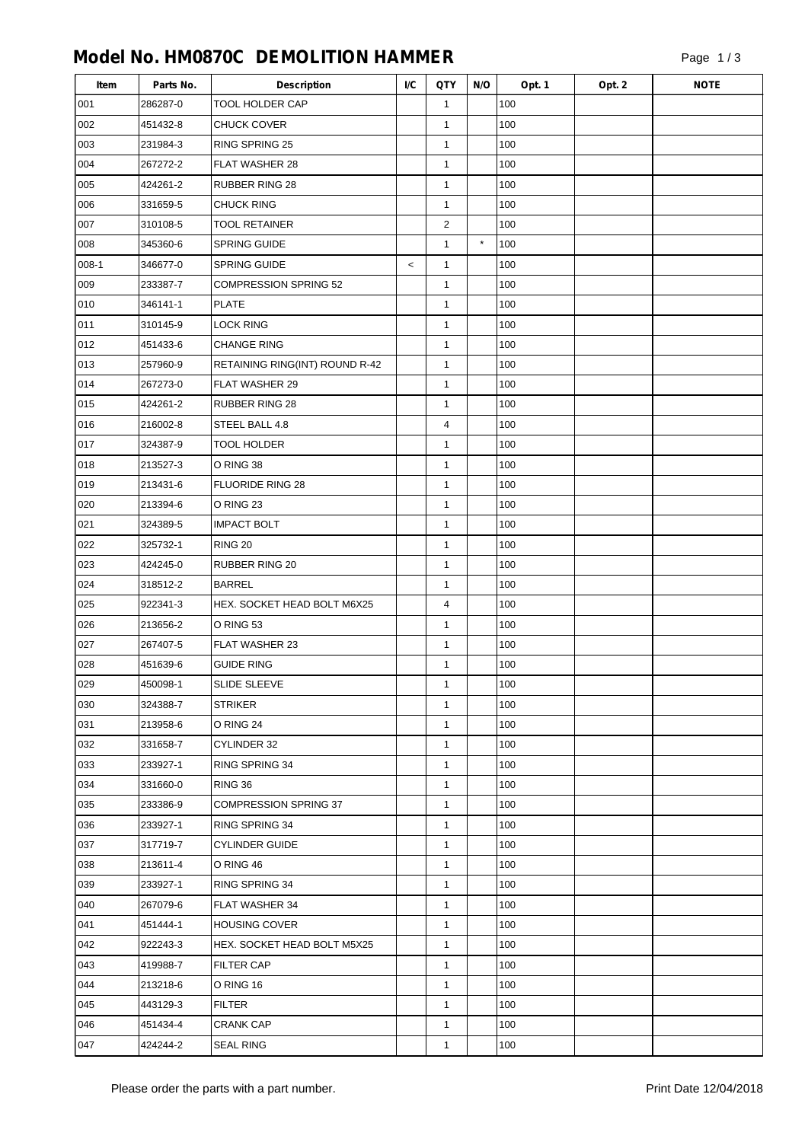| Item    | Parts No. | <b>Description</b>             | I/C     | QTY            | N/O     | Opt. 1 | Opt. 2 | <b>NOTE</b> |
|---------|-----------|--------------------------------|---------|----------------|---------|--------|--------|-------------|
| 001     | 286287-0  | <b>TOOL HOLDER CAP</b>         |         | $\mathbf{1}$   |         | 100    |        |             |
| 002     | 451432-8  | <b>CHUCK COVER</b>             |         | $\mathbf{1}$   |         | 100    |        |             |
| 003     | 231984-3  | RING SPRING 25                 |         | $\mathbf{1}$   |         | 100    |        |             |
| 004     | 267272-2  | FLAT WASHER 28                 |         | $\mathbf{1}$   |         | 100    |        |             |
| 005     | 424261-2  | <b>RUBBER RING 28</b>          |         | $\mathbf{1}$   |         | 100    |        |             |
| 006     | 331659-5  | <b>CHUCK RING</b>              |         | $\mathbf{1}$   |         | 100    |        |             |
| 007     | 310108-5  | <b>TOOL RETAINER</b>           |         | $\overline{2}$ |         | 100    |        |             |
| 008     | 345360-6  | <b>SPRING GUIDE</b>            |         | $\mathbf{1}$   | $\star$ | 100    |        |             |
| $008-1$ | 346677-0  | <b>SPRING GUIDE</b>            | $\,<\,$ | $\mathbf{1}$   |         | 100    |        |             |
| 009     | 233387-7  | <b>COMPRESSION SPRING 52</b>   |         | 1              |         | 100    |        |             |
| 010     | 346141-1  | <b>PLATE</b>                   |         | $\mathbf{1}$   |         | 100    |        |             |
| 011     | 310145-9  | <b>LOCK RING</b>               |         | $\mathbf{1}$   |         | 100    |        |             |
| 012     | 451433-6  | <b>CHANGE RING</b>             |         | $\mathbf{1}$   |         | 100    |        |             |
| 013     | 257960-9  | RETAINING RING(INT) ROUND R-42 |         | $\mathbf{1}$   |         | 100    |        |             |
| 014     | 267273-0  | FLAT WASHER 29                 |         | $\mathbf{1}$   |         | 100    |        |             |
| 015     | 424261-2  | <b>RUBBER RING 28</b>          |         | $\mathbf{1}$   |         | 100    |        |             |
| 016     | 216002-8  | STEEL BALL 4.8                 |         | 4              |         | 100    |        |             |
| 017     | 324387-9  | <b>TOOL HOLDER</b>             |         | $\mathbf{1}$   |         | 100    |        |             |
| 018     | 213527-3  | O RING 38                      |         | $\mathbf{1}$   |         | 100    |        |             |
| 019     | 213431-6  | <b>FLUORIDE RING 28</b>        |         | $\mathbf{1}$   |         | 100    |        |             |
| 020     | 213394-6  | O RING 23                      |         | 1              |         | 100    |        |             |
| 021     | 324389-5  | <b>IMPACT BOLT</b>             |         | $\mathbf{1}$   |         | 100    |        |             |
| 022     | 325732-1  | <b>RING 20</b>                 |         | $\mathbf{1}$   |         | 100    |        |             |
| 023     | 424245-0  | RUBBER RING 20                 |         | $\mathbf{1}$   |         | 100    |        |             |
| 024     | 318512-2  | <b>BARREL</b>                  |         | $\mathbf{1}$   |         | 100    |        |             |
| 025     | 922341-3  | HEX. SOCKET HEAD BOLT M6X25    |         | 4              |         | 100    |        |             |
| 026     | 213656-2  | O RING 53                      |         | $\mathbf{1}$   |         | 100    |        |             |
| 027     | 267407-5  | FLAT WASHER 23                 |         | $\mathbf{1}$   |         | 100    |        |             |
| 028     | 451639-6  | <b>GUIDE RING</b>              |         | 1              |         | 100    |        |             |
| 029     | 450098-1  | <b>SLIDE SLEEVE</b>            |         | $\mathbf{1}$   |         | 100    |        |             |
| 030     | 324388-7  | <b>STRIKER</b>                 |         | $\mathbf{1}$   |         | 100    |        |             |
| 031     | 213958-6  | O RING 24                      |         | $\mathbf{1}$   |         | 100    |        |             |
| 032     | 331658-7  | CYLINDER 32                    |         | $\mathbf{1}$   |         | 100    |        |             |
| 033     | 233927-1  | RING SPRING 34                 |         | $\mathbf{1}$   |         | 100    |        |             |
| 034     | 331660-0  | <b>RING 36</b>                 |         | $\mathbf{1}$   |         | 100    |        |             |
| 035     | 233386-9  | <b>COMPRESSION SPRING 37</b>   |         | $\mathbf{1}$   |         | 100    |        |             |
| 036     | 233927-1  | RING SPRING 34                 |         | $\mathbf{1}$   |         | 100    |        |             |
| 037     | 317719-7  | <b>CYLINDER GUIDE</b>          |         | $\mathbf{1}$   |         | 100    |        |             |
| 038     | 213611-4  | O RING 46                      |         | $\mathbf{1}$   |         | 100    |        |             |
| 039     | 233927-1  | RING SPRING 34                 |         | $\mathbf{1}$   |         | 100    |        |             |
| 040     | 267079-6  | FLAT WASHER 34                 |         | $\mathbf{1}$   |         | 100    |        |             |
| 041     | 451444-1  | <b>HOUSING COVER</b>           |         | $\mathbf{1}$   |         | 100    |        |             |
| 042     | 922243-3  | HEX. SOCKET HEAD BOLT M5X25    |         | $\mathbf{1}$   |         | 100    |        |             |
| 043     | 419988-7  | <b>FILTER CAP</b>              |         | $\mathbf{1}$   |         | 100    |        |             |
| 044     | 213218-6  | O RING 16                      |         | $\mathbf{1}$   |         | 100    |        |             |
| 045     | 443129-3  | <b>FILTER</b>                  |         | $\mathbf{1}$   |         | 100    |        |             |
| 046     | 451434-4  | <b>CRANK CAP</b>               |         | $\mathbf{1}$   |         | 100    |        |             |
| 047     | 424244-2  | <b>SEAL RING</b>               |         | 1              |         | 100    |        |             |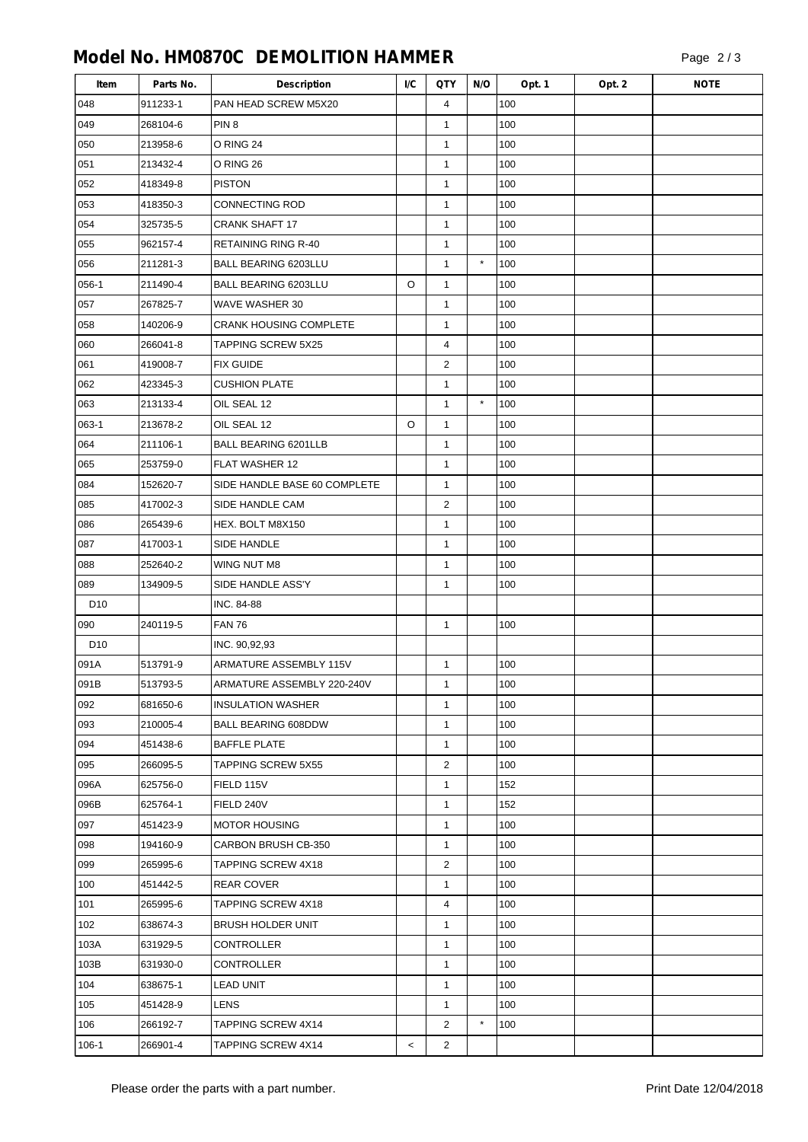| Item            | Parts No. | <b>Description</b>            | I/C   | QTY            | N/O      | Opt. 1 | Opt. 2 | <b>NOTE</b> |
|-----------------|-----------|-------------------------------|-------|----------------|----------|--------|--------|-------------|
| 048             | 911233-1  | PAN HEAD SCREW M5X20          |       | 4              |          | 100    |        |             |
| 049             | 268104-6  | PIN <sub>8</sub>              |       | 1              |          | 100    |        |             |
| 050             | 213958-6  | O RING 24                     |       | $\mathbf{1}$   |          | 100    |        |             |
| 051             | 213432-4  | O RING 26                     |       | 1              |          | 100    |        |             |
| 052             | 418349-8  | <b>PISTON</b>                 |       | $\mathbf{1}$   |          | 100    |        |             |
| 053             | 418350-3  | CONNECTING ROD                |       | $\mathbf{1}$   |          | 100    |        |             |
| 054             | 325735-5  | <b>CRANK SHAFT 17</b>         |       | $\mathbf{1}$   |          | 100    |        |             |
| 055             | 962157-4  | RETAINING RING R-40           |       | 1              |          | 100    |        |             |
| 056             | 211281-3  | BALL BEARING 6203LLU          |       | $\mathbf{1}$   | $\star$  | 100    |        |             |
| 056-1           | 211490-4  | BALL BEARING 6203LLU          | O     | $\mathbf{1}$   |          | 100    |        |             |
| 057             | 267825-7  | WAVE WASHER 30                |       | 1              |          | 100    |        |             |
| 058             | 140206-9  | <b>CRANK HOUSING COMPLETE</b> |       | $\mathbf{1}$   |          | 100    |        |             |
| 060             | 266041-8  | TAPPING SCREW 5X25            |       | 4              |          | 100    |        |             |
| 061             | 419008-7  | <b>FIX GUIDE</b>              |       | 2              |          | 100    |        |             |
| 062             | 423345-3  | <b>CUSHION PLATE</b>          |       | $\mathbf{1}$   |          | 100    |        |             |
| 063             | 213133-4  | OIL SEAL 12                   |       | $\mathbf{1}$   | $^\star$ | 100    |        |             |
| 063-1           | 213678-2  | OIL SEAL 12                   | O     | $\mathbf{1}$   |          | 100    |        |             |
| 064             | 211106-1  | <b>BALL BEARING 6201LLB</b>   |       | $\mathbf{1}$   |          | 100    |        |             |
| 065             | 253759-0  | <b>FLAT WASHER 12</b>         |       | 1              |          | 100    |        |             |
| 084             | 152620-7  | SIDE HANDLE BASE 60 COMPLETE  |       | $\mathbf{1}$   |          | 100    |        |             |
| 085             | 417002-3  | SIDE HANDLE CAM               |       | $\overline{2}$ |          | 100    |        |             |
| 086             | 265439-6  | HEX. BOLT M8X150              |       | $\mathbf{1}$   |          | 100    |        |             |
| 087             | 417003-1  | SIDE HANDLE                   |       | $\mathbf{1}$   |          | 100    |        |             |
| 088             | 252640-2  | WING NUT M8                   |       | 1              |          | 100    |        |             |
| 089             | 134909-5  | SIDE HANDLE ASS'Y             |       | $\mathbf{1}$   |          | 100    |        |             |
| D <sub>10</sub> |           | INC. 84-88                    |       |                |          |        |        |             |
| 090             | 240119-5  | <b>FAN 76</b>                 |       | $\mathbf{1}$   |          | 100    |        |             |
| D <sub>10</sub> |           | INC. 90,92,93                 |       |                |          |        |        |             |
| 091A            | 513791-9  | ARMATURE ASSEMBLY 115V        |       | $\mathbf{1}$   |          | 100    |        |             |
| 091B            | 513793-5  | ARMATURE ASSEMBLY 220-240V    |       | 1              |          | 100    |        |             |
| 092             | 681650-6  | <b>INSULATION WASHER</b>      |       | $\mathbf{1}$   |          | 100    |        |             |
| 093             | 210005-4  | <b>BALL BEARING 608DDW</b>    |       | 1              |          | 100    |        |             |
| 094             | 451438-6  | <b>BAFFLE PLATE</b>           |       | $\mathbf{1}$   |          | 100    |        |             |
| 095             | 266095-5  | <b>TAPPING SCREW 5X55</b>     |       | 2              |          | 100    |        |             |
| 096A            | 625756-0  | FIELD 115V                    |       | $\mathbf{1}$   |          | 152    |        |             |
| 096B            | 625764-1  | FIELD 240V                    |       | $\mathbf{1}$   |          | 152    |        |             |
| 097             | 451423-9  | <b>MOTOR HOUSING</b>          |       | 1              |          | 100    |        |             |
| 098             | 194160-9  | CARBON BRUSH CB-350           |       | $\mathbf{1}$   |          | 100    |        |             |
| 099             | 265995-6  | TAPPING SCREW 4X18            |       | $\overline{2}$ |          | 100    |        |             |
| 100             | 451442-5  | <b>REAR COVER</b>             |       | $\mathbf{1}$   |          | 100    |        |             |
| 101             | 265995-6  | TAPPING SCREW 4X18            |       | 4              |          | 100    |        |             |
| 102             | 638674-3  | <b>BRUSH HOLDER UNIT</b>      |       | $\mathbf{1}$   |          | 100    |        |             |
| 103A            | 631929-5  | CONTROLLER                    |       | $\mathbf{1}$   |          | 100    |        |             |
| 103B            | 631930-0  | <b>CONTROLLER</b>             |       | $\mathbf{1}$   |          | 100    |        |             |
| 104             | 638675-1  | LEAD UNIT                     |       | 1              |          | 100    |        |             |
| 105             | 451428-9  | LENS                          |       | $\mathbf{1}$   |          | 100    |        |             |
| 106             | 266192-7  | <b>TAPPING SCREW 4X14</b>     |       | 2              | $\star$  | 100    |        |             |
| 106-1           | 266901-4  | TAPPING SCREW 4X14            | $\,<$ | $\overline{2}$ |          |        |        |             |